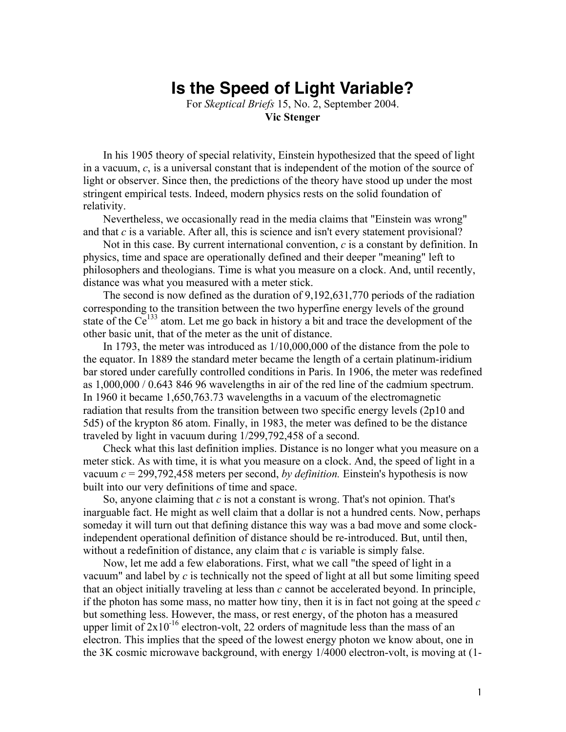## **Is the Speed of Light Variable?**

For *Skeptical Briefs* 15, No. 2, September 2004. **Vic Stenger**

In his 1905 theory of special relativity, Einstein hypothesized that the speed of light in a vacuum, *c*, is a universal constant that is independent of the motion of the source of light or observer. Since then, the predictions of the theory have stood up under the most stringent empirical tests. Indeed, modern physics rests on the solid foundation of relativity.

Nevertheless, we occasionally read in the media claims that "Einstein was wrong" and that *c* is a variable. After all, this is science and isn't every statement provisional?

Not in this case. By current international convention, *c* is a constant by definition. In physics, time and space are operationally defined and their deeper "meaning" left to philosophers and theologians. Time is what you measure on a clock. And, until recently, distance was what you measured with a meter stick.

The second is now defined as the duration of 9,192,631,770 periods of the radiation corresponding to the transition between the two hyperfine energy levels of the ground state of the  $Ce^{133}$  atom. Let me go back in history a bit and trace the development of the other basic unit, that of the meter as the unit of distance.

In 1793, the meter was introduced as 1/10,000,000 of the distance from the pole to the equator. In 1889 the standard meter became the length of a certain platinum-iridium bar stored under carefully controlled conditions in Paris. In 1906, the meter was redefined as 1,000,000 / 0.643 846 96 wavelengths in air of the red line of the cadmium spectrum. In 1960 it became 1,650,763.73 wavelengths in a vacuum of the electromagnetic radiation that results from the transition between two specific energy levels (2p10 and 5d5) of the krypton 86 atom. Finally, in 1983, the meter was defined to be the distance traveled by light in vacuum during 1/299,792,458 of a second.

Check what this last definition implies. Distance is no longer what you measure on a meter stick. As with time, it is what you measure on a clock. And, the speed of light in a vacuum *c* = 299,792,458 meters per second, *by definition.* Einstein's hypothesis is now built into our very definitions of time and space.

So, anyone claiming that *c* is not a constant is wrong. That's not opinion. That's inarguable fact. He might as well claim that a dollar is not a hundred cents. Now, perhaps someday it will turn out that defining distance this way was a bad move and some clockindependent operational definition of distance should be re-introduced. But, until then, without a redefinition of distance, any claim that *c* is variable is simply false.

Now, let me add a few elaborations. First, what we call "the speed of light in a vacuum" and label by *c* is technically not the speed of light at all but some limiting speed that an object initially traveling at less than *c* cannot be accelerated beyond. In principle, if the photon has some mass, no matter how tiny, then it is in fact not going at the speed *c* but something less. However, the mass, or rest energy, of the photon has a measured upper limit of  $2x10^{-16}$  electron-volt, 22 orders of magnitude less than the mass of an electron. This implies that the speed of the lowest energy photon we know about, one in the 3K cosmic microwave background, with energy 1/4000 electron-volt, is moving at (1